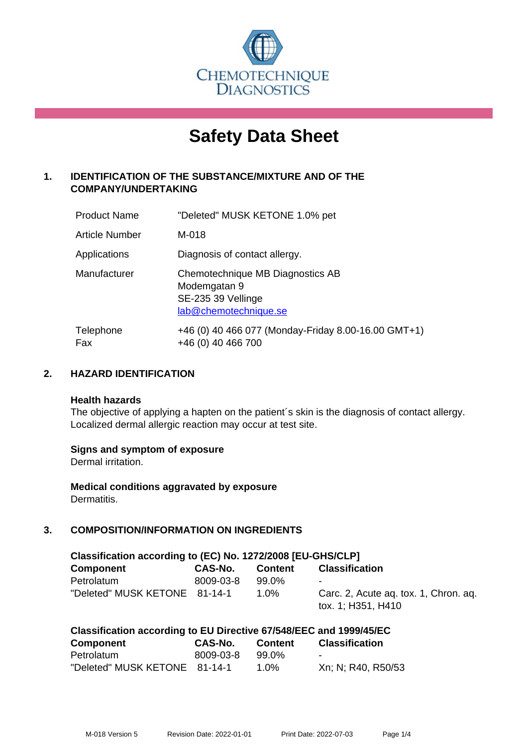

# **Safety Data Sheet**

# **1. IDENTIFICATION OF THE SUBSTANCE/MIXTURE AND OF THE COMPANY/UNDERTAKING**

| <b>Product Name</b>   | "Deleted" MUSK KETONE 1.0% pet                                                                  |
|-----------------------|-------------------------------------------------------------------------------------------------|
| <b>Article Number</b> | M-018                                                                                           |
| Applications          | Diagnosis of contact allergy.                                                                   |
| Manufacturer          | Chemotechnique MB Diagnostics AB<br>Modemgatan 9<br>SE-235 39 Vellinge<br>lab@chemotechnique.se |
| Telephone<br>Fax      | +46 (0) 40 466 077 (Monday-Friday 8.00-16.00 GMT+1)<br>+46 (0) 40 466 700                       |

# **2. HAZARD IDENTIFICATION**

#### **Health hazards**

The objective of applying a hapten on the patient's skin is the diagnosis of contact allergy. Localized dermal allergic reaction may occur at test site.

#### **Signs and symptom of exposure**

Dermal irritation.

**Medical conditions aggravated by exposure** Dermatitis.

# **3. COMPOSITION/INFORMATION ON INGREDIENTS**

| Classification according to (EC) No. 1272/2008 [EU-GHS/CLP] |           |         |                                                             |  |  |
|-------------------------------------------------------------|-----------|---------|-------------------------------------------------------------|--|--|
| <b>Component</b>                                            | CAS-No.   | Content | <b>Classification</b>                                       |  |  |
| Petrolatum                                                  | 8009-03-8 | 99.0%   | $\overline{\phantom{a}}$                                    |  |  |
| "Deleted" MUSK KETONE 81-14-1                               |           | 1.0%    | Carc. 2, Acute ag. tox. 1, Chron. ag.<br>tox. 1; H351, H410 |  |  |

| Classification according to EU Directive 67/548/EEC and 1999/45/EC |           |                |                       |  |
|--------------------------------------------------------------------|-----------|----------------|-----------------------|--|
| <b>Component</b>                                                   | CAS-No.   | <b>Content</b> | <b>Classification</b> |  |
| Petrolatum                                                         | 8009-03-8 | 99.0%          |                       |  |
| "Deleted" MUSK KETONE 81-14-1                                      |           | 1.0%           | Xn; N; R40, R50/53    |  |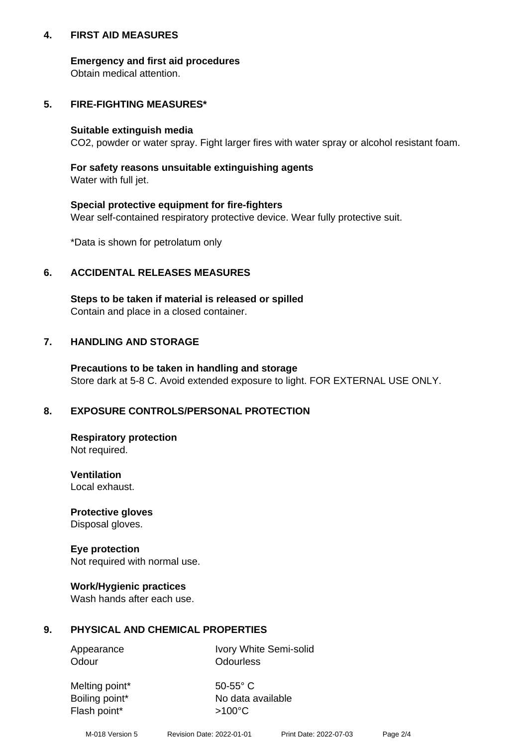## **4. FIRST AID MEASURES**

## **Emergency and first aid procedures**

Obtain medical attention.

# **5. FIRE-FIGHTING MEASURES\***

#### **Suitable extinguish media**

CO2, powder or water spray. Fight larger fires with water spray or alcohol resistant foam.

# **For safety reasons unsuitable extinguishing agents**

Water with full jet.

## **Special protective equipment for fire-fighters**

Wear self-contained respiratory protective device. Wear fully protective suit.

\*Data is shown for petrolatum only

# **6. ACCIDENTAL RELEASES MEASURES**

**Steps to be taken if material is released or spilled** Contain and place in a closed container.

# **7. HANDLING AND STORAGE**

**Precautions to be taken in handling and storage** Store dark at 5-8 C. Avoid extended exposure to light. FOR EXTERNAL USE ONLY.

# **8. EXPOSURE CONTROLS/PERSONAL PROTECTION**

**Respiratory protection** Not required.

**Ventilation** Local exhaust.

**Protective gloves** Disposal gloves.

#### **Eye protection** Not required with normal use.

## **Work/Hygienic practices**

Wash hands after each use.

## **9. PHYSICAL AND CHEMICAL PROPERTIES**

Odour **Odourless** 

Appearance Ivory White Semi-solid

Melting point\* 50-55° C Flash point\* >100°C

Boiling point\* No data available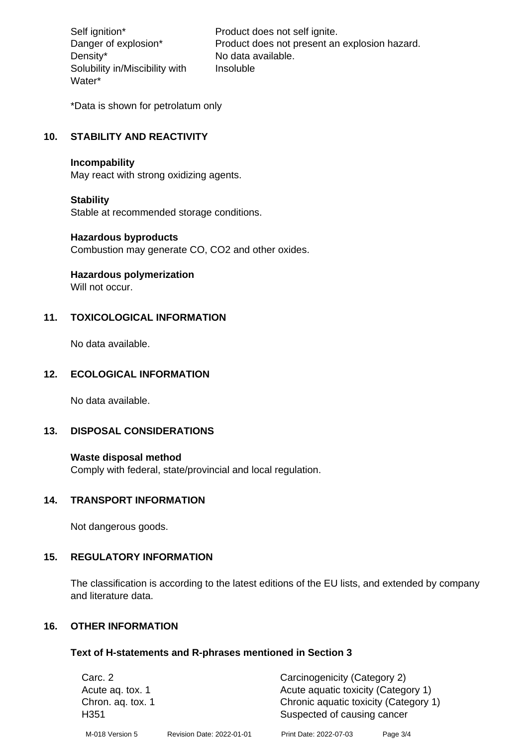Density\* No data available. Solubility in/Miscibility with Water\*

Self ignition\* Product does not self ignite. Danger of explosion\* Product does not present an explosion hazard. Insoluble

\*Data is shown for petrolatum only

# **10. STABILITY AND REACTIVITY**

#### **Incompability**

May react with strong oxidizing agents.

#### **Stability**

Stable at recommended storage conditions.

#### **Hazardous byproducts**

Combustion may generate CO, CO2 and other oxides.

**Hazardous polymerization**

Will not occur.

## **11. TOXICOLOGICAL INFORMATION**

No data available.

## **12. ECOLOGICAL INFORMATION**

No data available.

## **13. DISPOSAL CONSIDERATIONS**

#### **Waste disposal method**

Comply with federal, state/provincial and local regulation.

#### **14. TRANSPORT INFORMATION**

Not dangerous goods.

## **15. REGULATORY INFORMATION**

The classification is according to the latest editions of the EU lists, and extended by company and literature data.

#### **16. OTHER INFORMATION**

#### **Text of H-statements and R-phrases mentioned in Section 3**

| Carc. 2           |                           | Carcinogenicity (Category 2)          |          |
|-------------------|---------------------------|---------------------------------------|----------|
| Acute ag. tox. 1  |                           | Acute aquatic toxicity (Category 1)   |          |
| Chron. aq. tox. 1 |                           | Chronic aquatic toxicity (Category 1) |          |
| H <sub>351</sub>  |                           | Suspected of causing cancer           |          |
| M-018 Version 5   | Revision Date: 2022-01-01 | Print Date: 2022-07-03                | Page 3/4 |